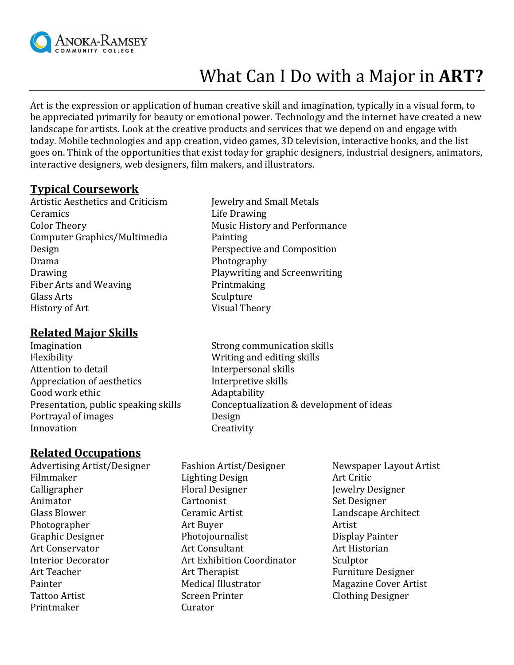

# What Can I Do with a Major in **ART?**

Art is the expression or application of human creative skill and imagination, typically in a visual form, to be appreciated primarily for beauty or emotional power. Technology and the internet have created a new landscape for artists. Look at the creative products and services that we depend on and engage with today. Mobile technologies and app creation, video games, 3D television, interactive books, and the list goes on. Think of the opportunities that exist today for graphic designers, industrial designers, animators, interactive designers, web designers, film makers, and illustrators.

### **Typical Coursework**

Artistic Aesthetics and Criticism Jewelry and Small Metals Ceramics Life Drawing Color Theory Music History and Performance Computer Graphics/Multimedia Painting Design Perspective and Composition Drama Photography Drawing **Playwriting and Screenwriting** Fiber Arts and Weaving Printmaking Glass Arts Sculpture History of Art Visual Theory

## **Related Major Skills**

Imagination Strong communication skills Flexibility **Example 3** Writing and editing skills Attention to detail **Interpersonal skills** Appreciation of aesthetics The Interpretive skills Good work ethic **Adaptability** Adaptability Portrayal of images Design Innovation Creativity

- 
- Presentation, public speaking skills Conceptualization & development of ideas

# **Related Occupations**

- Advertising Artist/Designer Fashion Artist/Designer Newspaper Layout Artist Printmaker Curator
- Filmmaker **Lighting Design** Art Critic Calligrapher Floral Designer Jewelry Designer Animator Cartoonist Cartoonist Set Designer Glass Blower **Ceramic Artist** Landscape Architect Photographer **Artist** Art Buyer **Artist** Artist Graphic Designer **Photojournalist** Display Painter Art Conservator Art Consultant Art Historian Interior Decorator Art Exhibition Coordinator Sculptor Art Teacher **Art Therapist** Furniture Designer Painter Medical Illustrator Magazine Cover Artist Tattoo Artist **Screen Printer** Clothing Designer
-